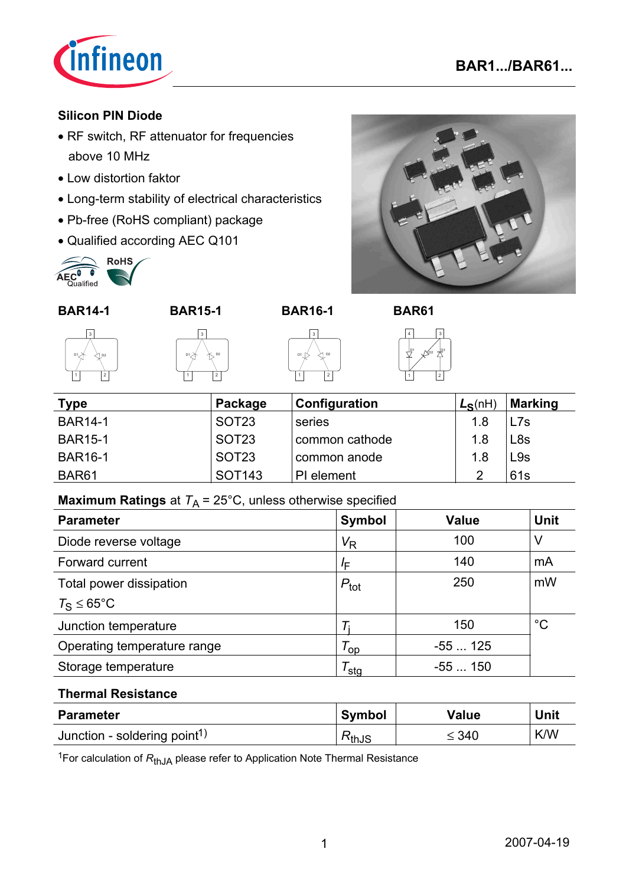

# **Silicon PIN Diode**

- RF switch, RF attenuator for frequencies above 10 MHz
- Low distortion faktor
- Long-term stability of electrical characteristics
- Pb-free (RoHS compliant) package
- Qualified according AEC Q101



**BAR14-1 BAR15-1 BAR16-1 BAR61**



į -D. í







| <b>Type</b>       | Package            | Configuration  | $L_S(nH)$ | <b>Marking</b>  |
|-------------------|--------------------|----------------|-----------|-----------------|
| <b>BAR14-1</b>    | SOT <sub>23</sub>  | series         | 1.8       | L7s             |
| <b>BAR15-1</b>    | SOT <sub>23</sub>  | common cathode | 1.8       | L <sub>8s</sub> |
| <b>BAR16-1</b>    | SOT <sub>23</sub>  | common anode   | 1.8       | L9s             |
| BAR <sub>61</sub> | SOT <sub>143</sub> | PI element     | റ         | 61s             |

í

# **Maximum Ratings** at  $T_A = 25^{\circ}$ C, unless otherwise specified

| <b>Parameter</b>              | <b>Symbol</b>        | <b>Value</b> | <b>Unit</b> |
|-------------------------------|----------------------|--------------|-------------|
| Diode reverse voltage         | $V_{R}$              | 100          |             |
| Forward current               | ΙF                   | 140          | mA          |
| Total power dissipation       | $P_{\text{tot}}$     | 250          | mW          |
| $T_{\rm S} \leq 65^{\circ}$ C |                      |              |             |
| Junction temperature          |                      | 150          | $^{\circ}C$ |
| Operating temperature range   | $\tau_{\mathsf{op}}$ | $-55125$     |             |
| Storage temperature           | <sup>/</sup> sta     | $-55150$     |             |

#### **Thermal Resistance**

| <b>Parameter</b>                         | <b>Symbol</b>                | <b>Value</b> | Unit       |
|------------------------------------------|------------------------------|--------------|------------|
| Junction - soldering point <sup>1)</sup> | $\mathsf{k}_{\mathsf{thJS}}$ | $\leq 340$   | <b>K/W</b> |

<sup>1</sup>For calculation of  $R_{thJA}$  please refer to Application Note Thermal Resistance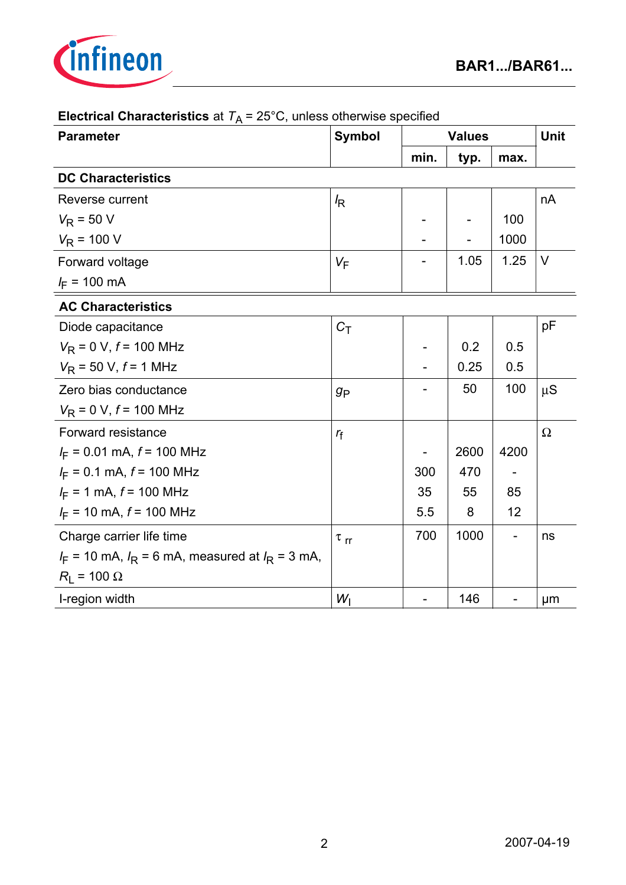

| <b>Parameter</b>                                       | <b>Symbol</b>        | <b>Values</b> |      |                   | <b>Unit</b> |
|--------------------------------------------------------|----------------------|---------------|------|-------------------|-------------|
|                                                        |                      | min.          | typ. | max.              |             |
| <b>DC Characteristics</b>                              |                      |               |      |                   |             |
| Reverse current                                        | $\sqrt{R}$           |               |      |                   | nA          |
| $V_R$ = 50 V                                           |                      |               |      | 100               |             |
| $V_R$ = 100 V                                          |                      |               |      | 1000              |             |
| Forward voltage                                        | $V_F$                |               | 1.05 | 1.25              | V           |
| $I_F$ = 100 mA                                         |                      |               |      |                   |             |
| <b>AC Characteristics</b>                              |                      |               |      |                   |             |
| Diode capacitance                                      | $C_{\mathsf{T}}$     |               |      |                   | pF          |
| $V_R$ = 0 V, $f$ = 100 MHz                             |                      |               | 0.2  | 0.5               |             |
| $V_R$ = 50 V, $f$ = 1 MHz                              |                      |               | 0.25 | 0.5               |             |
| Zero bias conductance                                  | $g_{\mathsf{P}}$     |               | 50   | 100               | $\mu S$     |
| $V_R$ = 0 V, $f$ = 100 MHz                             |                      |               |      |                   |             |
| Forward resistance                                     | $r_f$                |               |      |                   | $\Omega$    |
| $I_F = 0.01$ mA, $f = 100$ MHz                         |                      |               | 2600 | 4200              |             |
| $I_F = 0.1$ mA, $f = 100$ MHz                          |                      | 300           | 470  |                   |             |
| $I_F = 1$ mA, $f = 100$ MHz                            |                      | 35            | 55   | 85                |             |
| $I_F$ = 10 mA, $f$ = 100 MHz                           |                      | 5.5           | 8    | 12                |             |
| Charge carrier life time                               | $\tau$ <sub>rr</sub> | 700           | 1000 | $\qquad \qquad -$ | ns          |
| $I_F$ = 10 mA, $I_R$ = 6 mA, measured at $I_R$ = 3 mA, |                      |               |      |                   |             |
| $R_{\rm I}$ = 100 $\Omega$                             |                      |               |      |                   |             |
| I-region width                                         | $W_{\rm I}$          |               | 146  |                   | µm          |

# **Electrical Characteristics** at  $T_A = 25^\circ \text{C}$ , unless otherwise specified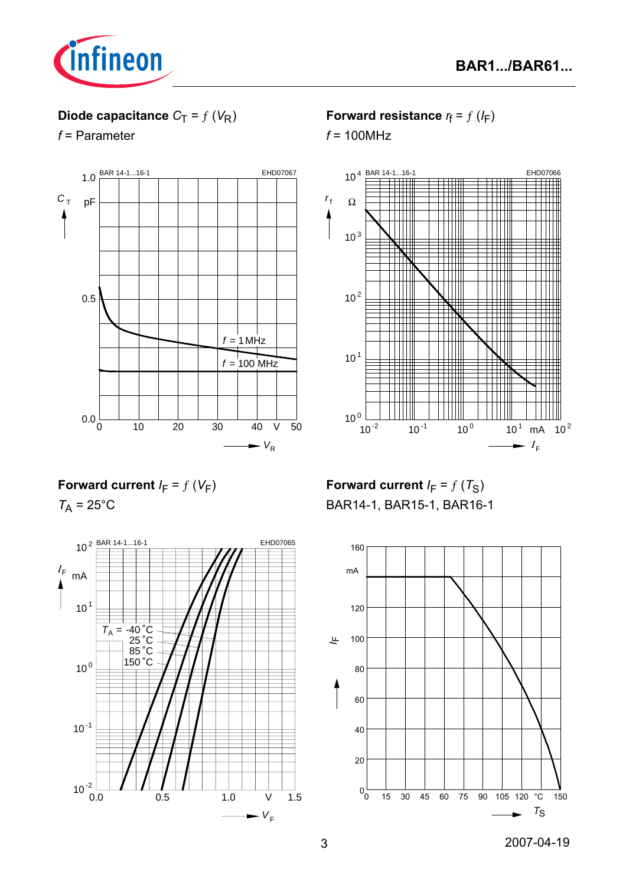

# **Diode capacitance**  $C_T = f(V_R)$

*f* = Parameter



**Forward resistance**  $r_f = f(l_F)$ 

*f* = 100MHz



**Forward current**  $I_F = f(V_F)$ 

 $T_A$  = 25 $^{\circ}$ C



**Forward current**  $I_F = f(T_S)$ BAR14-1, BAR15-1, BAR16-1

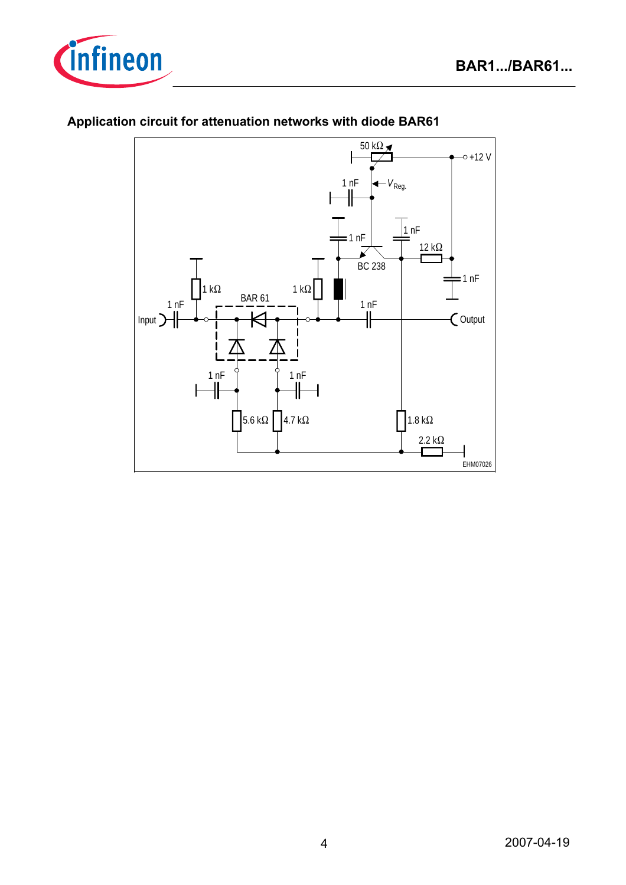



### **Application circuit for attenuation networks with diode BAR61**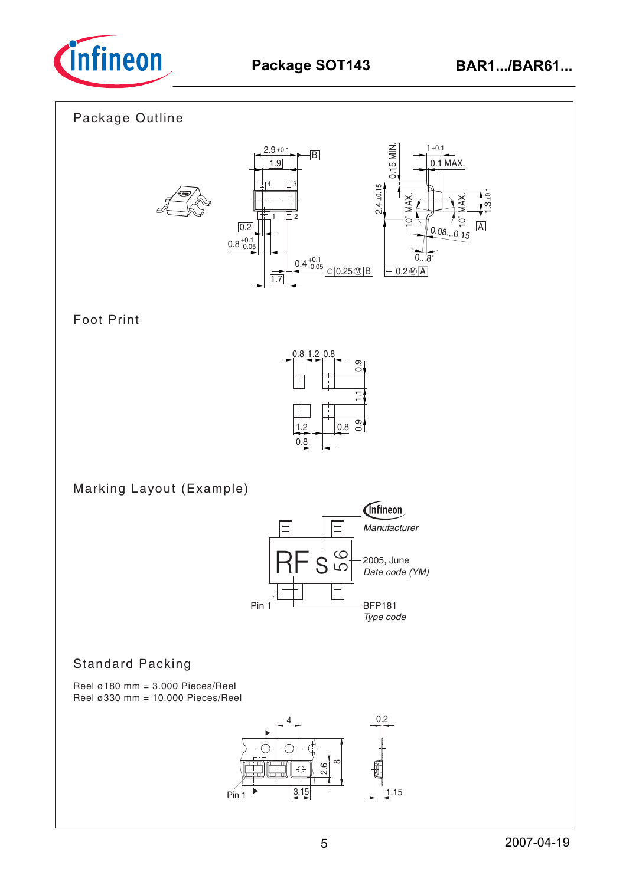

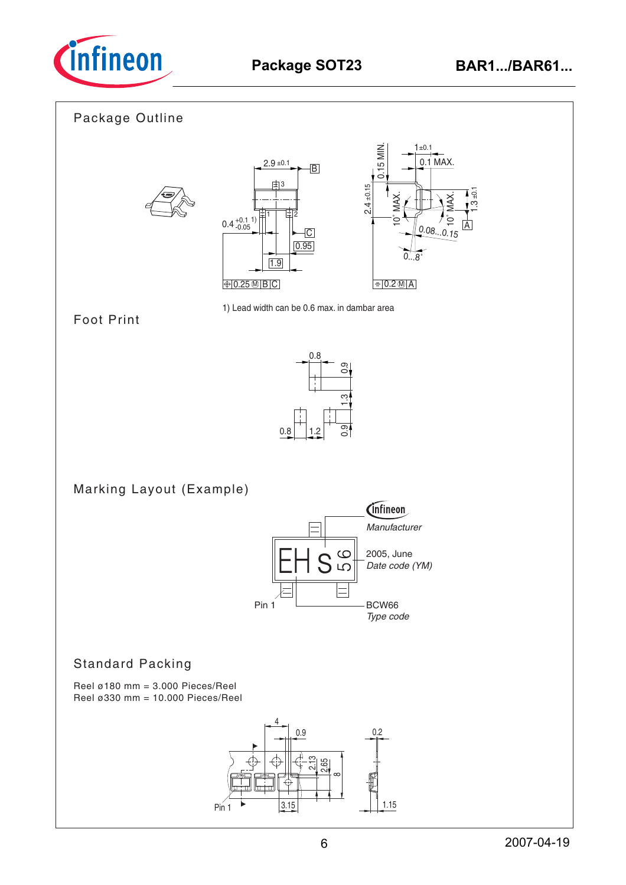